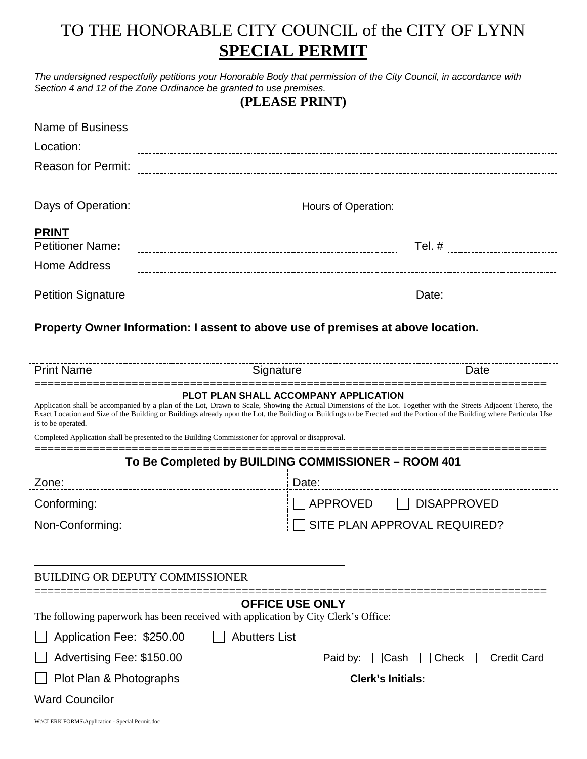## TO THE HONORABLE CITY COUNCIL of the CITY OF LYNN **SPECIAL PERMIT**

*The undersigned respectfully petitions your Honorable Body that permission of the City Council, in accordance with Section 4 and 12 of the Zone Ordinance be granted to use premises.*

**(PLEASE PRINT)**

| <b>Name of Business</b>   |                     |
|---------------------------|---------------------|
| Location:                 |                     |
| <b>Reason for Permit:</b> |                     |
|                           |                     |
| Days of Operation:        | Hours of Operation: |
| <b>PRINT</b>              |                     |
| <b>Petitioner Name:</b>   | Tel. #              |
| <b>Home Address</b>       |                     |
| <b>Petition Signature</b> | Date:               |

**Property Owner Information: I assent to above use of premises at above location.**

| <b>Print Name</b>                                                                                                                                                                                                                                                                                                                                                 | Signature                             | Date                                  |  |  |
|-------------------------------------------------------------------------------------------------------------------------------------------------------------------------------------------------------------------------------------------------------------------------------------------------------------------------------------------------------------------|---------------------------------------|---------------------------------------|--|--|
| Application shall be accompanied by a plan of the Lot, Drawn to Scale, Showing the Actual Dimensions of the Lot. Together with the Streets Adjacent Thereto, the<br>Exact Location and Size of the Building or Buildings already upon the Lot, the Building or Buildings to be Erected and the Portion of the Building where Particular Use<br>is to be operated. | PLOT PLAN SHALL ACCOMPANY APPLICATION |                                       |  |  |
| Completed Application shall be presented to the Building Commissioner for approval or disapproval.                                                                                                                                                                                                                                                                |                                       |                                       |  |  |
| To Be Completed by BUILDING COMMISSIONER - ROOM 401                                                                                                                                                                                                                                                                                                               |                                       |                                       |  |  |
| Zone:                                                                                                                                                                                                                                                                                                                                                             | Date:                                 |                                       |  |  |
| Conforming:                                                                                                                                                                                                                                                                                                                                                       | <b>APPROVED</b>                       | <b>DISAPPROVED</b>                    |  |  |
| Non-Conforming:                                                                                                                                                                                                                                                                                                                                                   |                                       | SITE PLAN APPROVAL REQUIRED?          |  |  |
|                                                                                                                                                                                                                                                                                                                                                                   |                                       |                                       |  |  |
| <b>BUILDING OR DEPUTY COMMISSIONER</b>                                                                                                                                                                                                                                                                                                                            |                                       |                                       |  |  |
| The following paperwork has been received with application by City Clerk's Office:                                                                                                                                                                                                                                                                                | <b>OFFICE USE ONLY</b>                |                                       |  |  |
| Application Fee: \$250.00                                                                                                                                                                                                                                                                                                                                         | <b>Abutters List</b>                  |                                       |  |  |
| Advertising Fee: \$150.00                                                                                                                                                                                                                                                                                                                                         | Paid by:                              | Check<br><b>Credit Card</b><br>l Cash |  |  |
| Plot Plan & Photographs                                                                                                                                                                                                                                                                                                                                           |                                       | <b>Clerk's Initials:</b>              |  |  |
| <b>Ward Councilor</b>                                                                                                                                                                                                                                                                                                                                             |                                       |                                       |  |  |